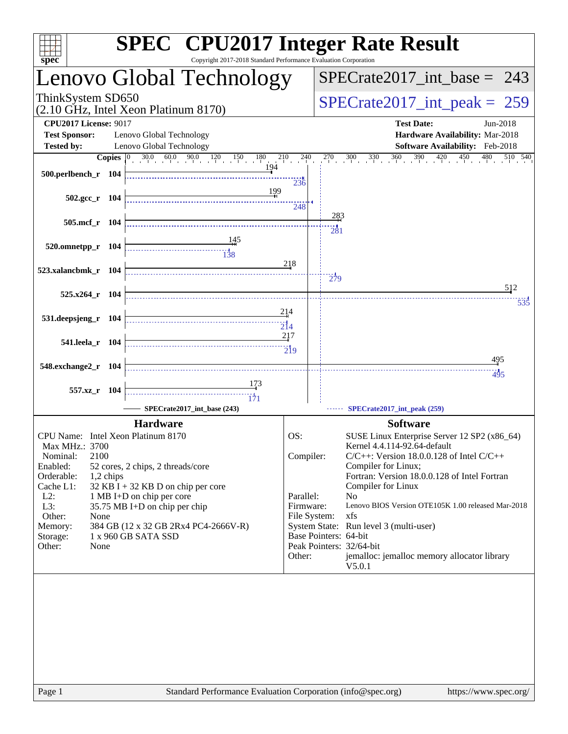| spec <sup>®</sup>                                                                                                                                                                                           | <b>SPEC<sup>®</sup></b> CPU2017 Integer Rate Result<br>Copyright 2017-2018 Standard Performance Evaluation Corporation                                                                                                    |                                                                      |                       |                                                                                                                                                                                                                                                                                                                                                                                                                                                             |
|-------------------------------------------------------------------------------------------------------------------------------------------------------------------------------------------------------------|---------------------------------------------------------------------------------------------------------------------------------------------------------------------------------------------------------------------------|----------------------------------------------------------------------|-----------------------|-------------------------------------------------------------------------------------------------------------------------------------------------------------------------------------------------------------------------------------------------------------------------------------------------------------------------------------------------------------------------------------------------------------------------------------------------------------|
|                                                                                                                                                                                                             | Lenovo Global Technology                                                                                                                                                                                                  |                                                                      |                       | $SPECrate2017\_int\_base = 243$                                                                                                                                                                                                                                                                                                                                                                                                                             |
| ThinkSystem SD650                                                                                                                                                                                           | (2.10 GHz, Intel Xeon Platinum 8170)                                                                                                                                                                                      |                                                                      |                       | $SPECrate2017\_int\_peak = 259$                                                                                                                                                                                                                                                                                                                                                                                                                             |
| <b>CPU2017 License: 9017</b><br><b>Test Sponsor:</b>                                                                                                                                                        | Lenovo Global Technology                                                                                                                                                                                                  |                                                                      |                       | <b>Test Date:</b><br>Jun-2018<br>Hardware Availability: Mar-2018                                                                                                                                                                                                                                                                                                                                                                                            |
| <b>Tested by:</b>                                                                                                                                                                                           | Lenovo Global Technology                                                                                                                                                                                                  |                                                                      |                       | Software Availability: Feb-2018                                                                                                                                                                                                                                                                                                                                                                                                                             |
| 500.perlbench_r 104                                                                                                                                                                                         | 194                                                                                                                                                                                                                       |                                                                      |                       | <b>Copies</b> $\begin{bmatrix} 0 & 30.0 & 60.0 & 90.0 & 120 & 150 & 180 & 210 & 240 & 270 & 300 & 330 & 360 & 390 & 420 & 450 & 480 & 510 & 540 \end{bmatrix}$                                                                                                                                                                                                                                                                                              |
| $502.\text{gcc r}$ 104                                                                                                                                                                                      | 199                                                                                                                                                                                                                       | 236<br>248                                                           |                       |                                                                                                                                                                                                                                                                                                                                                                                                                                                             |
| 505.mcf_r 104                                                                                                                                                                                               |                                                                                                                                                                                                                           |                                                                      | 283<br>281            |                                                                                                                                                                                                                                                                                                                                                                                                                                                             |
| 520.omnetpp_r 104                                                                                                                                                                                           | $\begin{array}{c c c c c} \hline \text{} & \text{} & \text{} \\ \hline \text{} & \text{} & \text{} \\ \hline \text{} & \text{} & \text{} \\ \hline \end{array}$                                                           |                                                                      |                       |                                                                                                                                                                                                                                                                                                                                                                                                                                                             |
| 523.xalancbmk_r 104                                                                                                                                                                                         |                                                                                                                                                                                                                           | 218                                                                  | $\frac{1}{279}$       |                                                                                                                                                                                                                                                                                                                                                                                                                                                             |
| $525.x264$ r 104                                                                                                                                                                                            |                                                                                                                                                                                                                           |                                                                      |                       | 512<br>the contract of the contract of the contract of the contract of the contract of the contract of                                                                                                                                                                                                                                                                                                                                                      |
| 531.deepsjeng_r 104                                                                                                                                                                                         |                                                                                                                                                                                                                           | 214                                                                  |                       | 535                                                                                                                                                                                                                                                                                                                                                                                                                                                         |
| 541.leela r 104                                                                                                                                                                                             |                                                                                                                                                                                                                           | 217                                                                  |                       |                                                                                                                                                                                                                                                                                                                                                                                                                                                             |
| 548.exchange2_r 104                                                                                                                                                                                         |                                                                                                                                                                                                                           |                                                                      |                       | <u>495</u>                                                                                                                                                                                                                                                                                                                                                                                                                                                  |
| 557.xz_r 104                                                                                                                                                                                                | 173<br>$\frac{11}{171}$<br>SPECrate2017_int_base (243)                                                                                                                                                                    |                                                                      |                       | 495<br>SPECrate2017_int_peak (259)                                                                                                                                                                                                                                                                                                                                                                                                                          |
|                                                                                                                                                                                                             |                                                                                                                                                                                                                           |                                                                      |                       |                                                                                                                                                                                                                                                                                                                                                                                                                                                             |
| CPU Name: Intel Xeon Platinum 8170<br>Max MHz.: 3700<br>2100<br>Nominal:<br>Enabled:<br>Orderable:<br>1,2 chips<br>Cache L1:<br>$L2$ :<br>$L3$ :<br>Other:<br>None<br>Memory:<br>Storage:<br>Other:<br>None | <b>Hardware</b><br>52 cores, 2 chips, 2 threads/core<br>$32$ KB I + 32 KB D on chip per core<br>1 MB I+D on chip per core<br>35.75 MB I+D on chip per chip<br>384 GB (12 x 32 GB 2Rx4 PC4-2666V-R)<br>1 x 960 GB SATA SSD | OS:<br>Compiler:<br>Parallel:<br>Firmware:<br>File System:<br>Other: | Base Pointers: 64-bit | <b>Software</b><br>SUSE Linux Enterprise Server 12 SP2 (x86_64)<br>Kernel 4.4.114-92.64-default<br>$C/C++$ : Version 18.0.0.128 of Intel $C/C++$<br>Compiler for Linux;<br>Fortran: Version 18.0.0.128 of Intel Fortran<br>Compiler for Linux<br>N <sub>o</sub><br>Lenovo BIOS Version OTE105K 1.00 released Mar-2018<br>xfs<br>System State: Run level 3 (multi-user)<br>Peak Pointers: 32/64-bit<br>jemalloc: jemalloc memory allocator library<br>V5.0.1 |
|                                                                                                                                                                                                             |                                                                                                                                                                                                                           |                                                                      |                       |                                                                                                                                                                                                                                                                                                                                                                                                                                                             |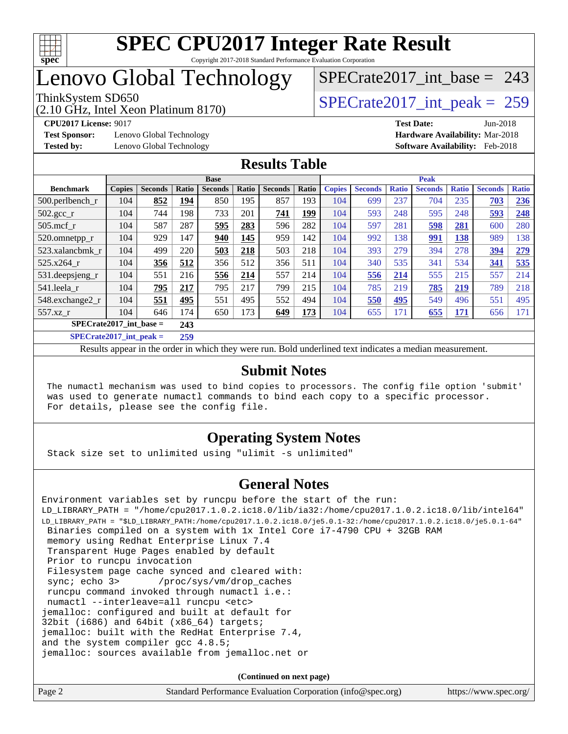

## Lenovo Global Technology

(2.10 GHz, Intel Xeon Platinum 8170)

ThinkSystem SD650  $SPECrate2017$ \_int\_peak = 259

[SPECrate2017\\_int\\_base =](http://www.spec.org/auto/cpu2017/Docs/result-fields.html#SPECrate2017intbase) 243

**[Test Sponsor:](http://www.spec.org/auto/cpu2017/Docs/result-fields.html#TestSponsor)** Lenovo Global Technology **[Hardware Availability:](http://www.spec.org/auto/cpu2017/Docs/result-fields.html#HardwareAvailability)** Mar-2018

**[CPU2017 License:](http://www.spec.org/auto/cpu2017/Docs/result-fields.html#CPU2017License)** 9017 **[Test Date:](http://www.spec.org/auto/cpu2017/Docs/result-fields.html#TestDate)** Jun-2018 **[Tested by:](http://www.spec.org/auto/cpu2017/Docs/result-fields.html#Testedby)** Lenovo Global Technology **[Software Availability:](http://www.spec.org/auto/cpu2017/Docs/result-fields.html#SoftwareAvailability)** Feb-2018

### **[Results Table](http://www.spec.org/auto/cpu2017/Docs/result-fields.html#ResultsTable)**

|                           |               |                |       | <b>Base</b>    |            |                |       | <b>Peak</b>   |                |              |                |              |                |              |
|---------------------------|---------------|----------------|-------|----------------|------------|----------------|-------|---------------|----------------|--------------|----------------|--------------|----------------|--------------|
| <b>Benchmark</b>          | <b>Copies</b> | <b>Seconds</b> | Ratio | <b>Seconds</b> | Ratio      | <b>Seconds</b> | Ratio | <b>Copies</b> | <b>Seconds</b> | <b>Ratio</b> | <b>Seconds</b> | <b>Ratio</b> | <b>Seconds</b> | <b>Ratio</b> |
| $500.$ perlbench_r        | 104           | 852            | 194   | 850            | 195        | 857            | 193   | 104           | 699            | 237          | 704            | 235          | 703            | 236          |
| $502.\text{sec}$          | 104           | 744            | 198   | 733            | 201        | 741            | 199   | 104           | 593            | 248          | 595            | 248          | 593            | 248          |
| $505$ .mcf r              | 104           | 587            | 287   | 595            | 283        | 596            | 282   | 104           | 597            | 281          | 598            | 281          | 600            | 280          |
| 520.omnetpp_r             | 104           | 929            | 147   | 940            | <u>145</u> | 959            | 142   | 104           | 992            | 138          | 991            | <b>138</b>   | 989            | 138          |
| 523.xalancbmk_r           | 104           | 499            | 220   | 503            | 218        | 503            | 218   | 104           | 393            | 279          | 394            | 278          | 394            | 279          |
| 525.x264 r                | 104           | 356            | 512   | 356            | 512        | 356            | 511   | 104           | 340            | 535          | 341            | 534          | 341            | 535          |
| 531.deepsjeng_r           | 104           | 551            | 216   | 556            | 214        | 557            | 214   | 104           | 556            | 214          | 555            | 215          | 557            | 214          |
| 541.leela r               | 104           | 795            | 217   | 795            | 217        | 799            | 215   | 104           | 785            | 219          | 785            | 219          | 789            | 218          |
| 548.exchange2_r           | 104           | 551            | 495   | 551            | 495        | 552            | 494   | 104           | 550            | 495          | 549            | 496          | 551            | 495          |
| 557.xz r                  | 104           | 646            | 174   | 650            | 173        | 649            | 173   | 104           | 655            | 171          | 655            | <u>171</u>   | 656            | 171          |
| $SPECrate2017$ int base = |               |                | 243   |                |            |                |       |               |                |              |                |              |                |              |
| $SPECrate2017$ int peak = |               |                | 259   |                |            |                |       |               |                |              |                |              |                |              |

Results appear in the [order in which they were run](http://www.spec.org/auto/cpu2017/Docs/result-fields.html#RunOrder). Bold underlined text [indicates a median measurement](http://www.spec.org/auto/cpu2017/Docs/result-fields.html#Median).

#### **[Submit Notes](http://www.spec.org/auto/cpu2017/Docs/result-fields.html#SubmitNotes)**

 The numactl mechanism was used to bind copies to processors. The config file option 'submit' was used to generate numactl commands to bind each copy to a specific processor. For details, please see the config file.

### **[Operating System Notes](http://www.spec.org/auto/cpu2017/Docs/result-fields.html#OperatingSystemNotes)**

Stack size set to unlimited using "ulimit -s unlimited"

### **[General Notes](http://www.spec.org/auto/cpu2017/Docs/result-fields.html#GeneralNotes)**

Environment variables set by runcpu before the start of the run: LD\_LIBRARY\_PATH = "/home/cpu2017.1.0.2.ic18.0/lib/ia32:/home/cpu2017.1.0.2.ic18.0/lib/intel64" LD\_LIBRARY\_PATH = "\$LD\_LIBRARY\_PATH:/home/cpu2017.1.0.2.ic18.0/je5.0.1-32:/home/cpu2017.1.0.2.ic18.0/je5.0.1-64" Binaries compiled on a system with 1x Intel Core i7-4790 CPU + 32GB RAM memory using Redhat Enterprise Linux 7.4 Transparent Huge Pages enabled by default Prior to runcpu invocation Filesystem page cache synced and cleared with: sync; echo 3> /proc/sys/vm/drop\_caches runcpu command invoked through numactl i.e.: numactl --interleave=all runcpu <etc> jemalloc: configured and built at default for 32bit (i686) and 64bit (x86\_64) targets; jemalloc: built with the RedHat Enterprise 7.4, and the system compiler gcc 4.8.5; jemalloc: sources available from jemalloc.net or

**(Continued on next page)**

| Page 2 | Standard Performance Evaluation Corporation (info@spec.org) | https://www.spec.org/ |
|--------|-------------------------------------------------------------|-----------------------|
|        |                                                             |                       |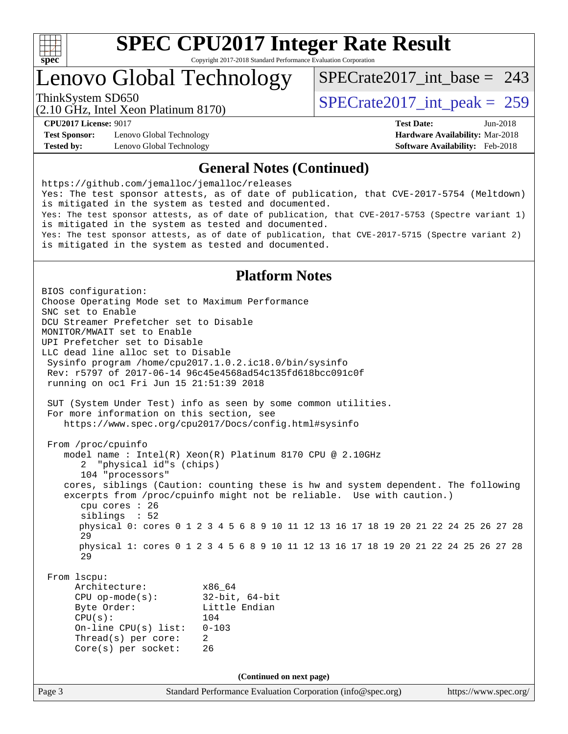

### Lenovo Global Technology

ThinkSystem SD650  $SPECrate2017\_int\_peak = 259$ [SPECrate2017\\_int\\_base =](http://www.spec.org/auto/cpu2017/Docs/result-fields.html#SPECrate2017intbase) 243

(2.10 GHz, Intel Xeon Platinum 8170)

**[Test Sponsor:](http://www.spec.org/auto/cpu2017/Docs/result-fields.html#TestSponsor)** Lenovo Global Technology **[Hardware Availability:](http://www.spec.org/auto/cpu2017/Docs/result-fields.html#HardwareAvailability)** Mar-2018 **[Tested by:](http://www.spec.org/auto/cpu2017/Docs/result-fields.html#Testedby)** Lenovo Global Technology **[Software Availability:](http://www.spec.org/auto/cpu2017/Docs/result-fields.html#SoftwareAvailability)** Feb-2018

**[CPU2017 License:](http://www.spec.org/auto/cpu2017/Docs/result-fields.html#CPU2017License)** 9017 **[Test Date:](http://www.spec.org/auto/cpu2017/Docs/result-fields.html#TestDate)** Jun-2018

#### **[General Notes \(Continued\)](http://www.spec.org/auto/cpu2017/Docs/result-fields.html#GeneralNotes)**

<https://github.com/jemalloc/jemalloc/releases> Yes: The test sponsor attests, as of date of publication, that CVE-2017-5754 (Meltdown) is mitigated in the system as tested and documented. Yes: The test sponsor attests, as of date of publication, that CVE-2017-5753 (Spectre variant 1) is mitigated in the system as tested and documented. Yes: The test sponsor attests, as of date of publication, that CVE-2017-5715 (Spectre variant 2) is mitigated in the system as tested and documented.

### **[Platform Notes](http://www.spec.org/auto/cpu2017/Docs/result-fields.html#PlatformNotes)**

Page 3 Standard Performance Evaluation Corporation [\(info@spec.org\)](mailto:info@spec.org) <https://www.spec.org/> BIOS configuration: Choose Operating Mode set to Maximum Performance SNC set to Enable DCU Streamer Prefetcher set to Disable MONITOR/MWAIT set to Enable UPI Prefetcher set to Disable LLC dead line alloc set to Disable Sysinfo program /home/cpu2017.1.0.2.ic18.0/bin/sysinfo Rev: r5797 of 2017-06-14 96c45e4568ad54c135fd618bcc091c0f running on oc1 Fri Jun 15 21:51:39 2018 SUT (System Under Test) info as seen by some common utilities. For more information on this section, see <https://www.spec.org/cpu2017/Docs/config.html#sysinfo> From /proc/cpuinfo model name : Intel(R) Xeon(R) Platinum 8170 CPU @ 2.10GHz 2 "physical id"s (chips) 104 "processors" cores, siblings (Caution: counting these is hw and system dependent. The following excerpts from /proc/cpuinfo might not be reliable. Use with caution.) cpu cores : 26 siblings : 52 physical 0: cores 0 1 2 3 4 5 6 8 9 10 11 12 13 16 17 18 19 20 21 22 24 25 26 27 28 29 physical 1: cores 0 1 2 3 4 5 6 8 9 10 11 12 13 16 17 18 19 20 21 22 24 25 26 27 28 29 From lscpu: Architecture: x86\_64 CPU op-mode(s): 32-bit, 64-bit Byte Order: Little Endian CPU(s): 104 On-line CPU(s) list: 0-103 Thread(s) per core: 2 Core(s) per socket: 26 **(Continued on next page)**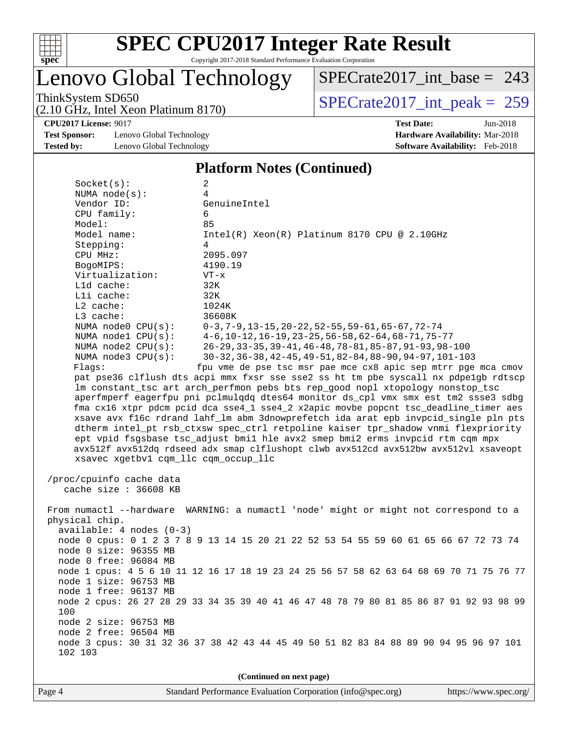

# Lenovo Global Technology

ThinkSystem SD650<br>  $(2.10 \text{ GHz})$  Intel Xeon Platinum 8170) [SPECrate2017\\_int\\_base =](http://www.spec.org/auto/cpu2017/Docs/result-fields.html#SPECrate2017intbase) 243

(2.10 GHz, Intel Xeon Platinum 8170)

**[Test Sponsor:](http://www.spec.org/auto/cpu2017/Docs/result-fields.html#TestSponsor)** Lenovo Global Technology **[Hardware Availability:](http://www.spec.org/auto/cpu2017/Docs/result-fields.html#HardwareAvailability)** Mar-2018 **[Tested by:](http://www.spec.org/auto/cpu2017/Docs/result-fields.html#Testedby)** Lenovo Global Technology **[Software Availability:](http://www.spec.org/auto/cpu2017/Docs/result-fields.html#SoftwareAvailability)** Feb-2018

**[CPU2017 License:](http://www.spec.org/auto/cpu2017/Docs/result-fields.html#CPU2017License)** 9017 **[Test Date:](http://www.spec.org/auto/cpu2017/Docs/result-fields.html#TestDate)** Jun-2018

#### **[Platform Notes \(Continued\)](http://www.spec.org/auto/cpu2017/Docs/result-fields.html#PlatformNotes)**

| Socket(s):                           | 2                                                                                                                   |  |  |  |  |  |
|--------------------------------------|---------------------------------------------------------------------------------------------------------------------|--|--|--|--|--|
| NUMA $node(s):$                      | 4                                                                                                                   |  |  |  |  |  |
| Vendor ID:                           | GenuineIntel                                                                                                        |  |  |  |  |  |
| CPU family:                          | 6                                                                                                                   |  |  |  |  |  |
| Model:                               | 85                                                                                                                  |  |  |  |  |  |
| Model name:                          | Intel(R) Xeon(R) Platinum 8170 CPU @ 2.10GHz                                                                        |  |  |  |  |  |
| Stepping:                            | 4                                                                                                                   |  |  |  |  |  |
| CPU MHz:                             | 2095.097                                                                                                            |  |  |  |  |  |
| BogoMIPS:                            | 4190.19                                                                                                             |  |  |  |  |  |
| Virtualization:                      | $VT - x$                                                                                                            |  |  |  |  |  |
| $L1d$ cache:                         | 32K                                                                                                                 |  |  |  |  |  |
| Lli cache:                           | 32K                                                                                                                 |  |  |  |  |  |
| $L2$ cache:                          | 1024K                                                                                                               |  |  |  |  |  |
| $L3$ cache:                          | 36608K                                                                                                              |  |  |  |  |  |
| NUMA node0 CPU(s):                   | $0-3, 7-9, 13-15, 20-22, 52-55, 59-61, 65-67, 72-74$                                                                |  |  |  |  |  |
| NUMA nodel CPU(s):                   | $4-6$ , 10-12, 16-19, 23-25, 56-58, 62-64, 68-71, 75-77                                                             |  |  |  |  |  |
| NUMA $node2$ $CPU(s)$ :              | 26-29, 33-35, 39-41, 46-48, 78-81, 85-87, 91-93, 98-100<br>30-32, 36-38, 42-45, 49-51, 82-84, 88-90, 94-97, 101-103 |  |  |  |  |  |
| NUMA node3 CPU(s):<br>Flags:         | fpu vme de pse tsc msr pae mce cx8 apic sep mtrr pge mca cmov                                                       |  |  |  |  |  |
|                                      | pat pse36 clflush dts acpi mmx fxsr sse sse2 ss ht tm pbe syscall nx pdpelgb rdtscp                                 |  |  |  |  |  |
|                                      | lm constant_tsc art arch_perfmon pebs bts rep_good nopl xtopology nonstop_tsc                                       |  |  |  |  |  |
|                                      | aperfmperf eagerfpu pni pclmulqdq dtes64 monitor ds_cpl vmx smx est tm2 ssse3 sdbg                                  |  |  |  |  |  |
|                                      | fma cx16 xtpr pdcm pcid dca sse4_1 sse4_2 x2apic movbe popcnt tsc_deadline_timer aes                                |  |  |  |  |  |
|                                      | xsave avx f16c rdrand lahf_lm abm 3dnowprefetch ida arat epb invpcid_single pln pts                                 |  |  |  |  |  |
|                                      | dtherm intel_pt rsb_ctxsw spec_ctrl retpoline kaiser tpr_shadow vnmi flexpriority                                   |  |  |  |  |  |
|                                      | ept vpid fsgsbase tsc_adjust bmil hle avx2 smep bmi2 erms invpcid rtm cqm mpx                                       |  |  |  |  |  |
|                                      | avx512f avx512dq rdseed adx smap clflushopt clwb avx512cd avx512bw avx512vl xsaveopt                                |  |  |  |  |  |
| xsavec xgetbvl cqm_llc cqm_occup_llc |                                                                                                                     |  |  |  |  |  |
|                                      |                                                                                                                     |  |  |  |  |  |
| /proc/cpuinfo cache data             |                                                                                                                     |  |  |  |  |  |
| cache size : 36608 KB                |                                                                                                                     |  |  |  |  |  |
|                                      |                                                                                                                     |  |  |  |  |  |
|                                      | From numactl --hardware WARNING: a numactl 'node' might or might not correspond to a                                |  |  |  |  |  |
| physical chip.                       |                                                                                                                     |  |  |  |  |  |
| $available: 4 nodes (0-3)$           |                                                                                                                     |  |  |  |  |  |
|                                      | node 0 cpus: 0 1 2 3 7 8 9 13 14 15 20 21 22 52 53 54 55 59 60 61 65 66 67 72 73 74                                 |  |  |  |  |  |
| node 0 size: 96355 MB                |                                                                                                                     |  |  |  |  |  |
| node 0 free: 96084 MB                |                                                                                                                     |  |  |  |  |  |
|                                      | node 1 cpus: 4 5 6 10 11 12 16 17 18 19 23 24 25 56 57 58 62 63 64 68 69 70 71 75 76 77                             |  |  |  |  |  |
| node 1 size: 96753 MB                |                                                                                                                     |  |  |  |  |  |
| node 1 free: 96137 MB                |                                                                                                                     |  |  |  |  |  |
|                                      | node 2 cpus: 26 27 28 29 33 34 35 39 40 41 46 47 48 78 79 80 81 85 86 87 91 92 93 98 99                             |  |  |  |  |  |
| 100                                  |                                                                                                                     |  |  |  |  |  |
| node 2 size: 96753 MB                |                                                                                                                     |  |  |  |  |  |
| node 2 free: 96504 MB                |                                                                                                                     |  |  |  |  |  |
|                                      | node 3 cpus: 30 31 32 36 37 38 42 43 44 45 49 50 51 82 83 84 88 89 90 94 95 96 97 101                               |  |  |  |  |  |
| 102 103                              |                                                                                                                     |  |  |  |  |  |
|                                      |                                                                                                                     |  |  |  |  |  |
| (Continued on next page)             |                                                                                                                     |  |  |  |  |  |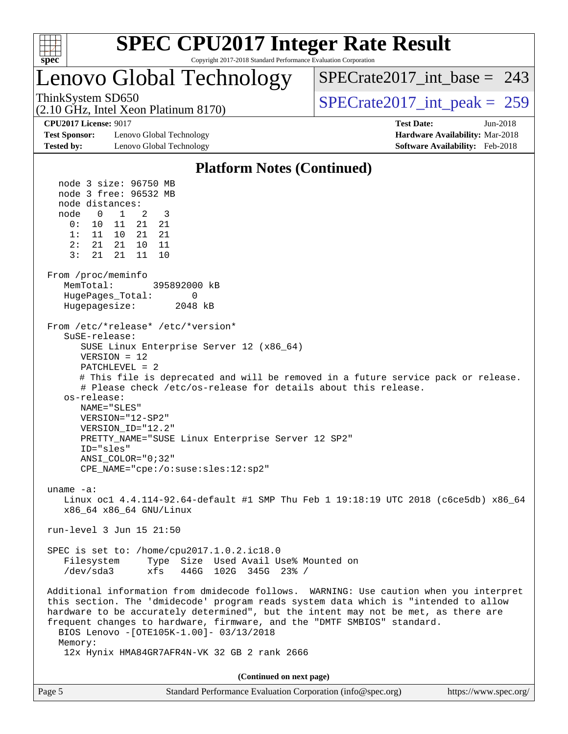

## Lenovo Global Technology

 $SPECrate2017\_int\_base = 243$ 

(2.10 GHz, Intel Xeon Platinum 8170)

ThinkSystem SD650  $SPECrate2017\_int\_peak = 259$ 

**[Test Sponsor:](http://www.spec.org/auto/cpu2017/Docs/result-fields.html#TestSponsor)** Lenovo Global Technology **[Hardware Availability:](http://www.spec.org/auto/cpu2017/Docs/result-fields.html#HardwareAvailability)** Mar-2018 **[Tested by:](http://www.spec.org/auto/cpu2017/Docs/result-fields.html#Testedby)** Lenovo Global Technology **[Software Availability:](http://www.spec.org/auto/cpu2017/Docs/result-fields.html#SoftwareAvailability)** Feb-2018

**[CPU2017 License:](http://www.spec.org/auto/cpu2017/Docs/result-fields.html#CPU2017License)** 9017 **[Test Date:](http://www.spec.org/auto/cpu2017/Docs/result-fields.html#TestDate)** Jun-2018

#### **[Platform Notes \(Continued\)](http://www.spec.org/auto/cpu2017/Docs/result-fields.html#PlatformNotes)** node 3 size: 96750 MB node 3 free: 96532 MB node distances: node 0 1 2 3 0: 10 11 21 21 1: 11 10 21 21 2: 21 21 10 11 3: 21 21 11 10 From /proc/meminfo MemTotal: 395892000 kB HugePages Total: 0 Hugepagesize: 2048 kB From /etc/\*release\* /etc/\*version\* SuSE-release: SUSE Linux Enterprise Server 12 (x86\_64) VERSION = 12 PATCHLEVEL = 2 # This file is deprecated and will be removed in a future service pack or release. # Please check /etc/os-release for details about this release. os-release: NAME="SLES" VERSION="12-SP2" VERSION\_ID="12.2" PRETTY\_NAME="SUSE Linux Enterprise Server 12 SP2" ID="sles" ANSI\_COLOR="0;32" CPE\_NAME="cpe:/o:suse:sles:12:sp2" uname -a: Linux oc1 4.4.114-92.64-default #1 SMP Thu Feb 1 19:18:19 UTC 2018 (c6ce5db) x86\_64 x86\_64 x86\_64 GNU/Linux run-level 3 Jun 15 21:50 SPEC is set to: /home/cpu2017.1.0.2.ic18.0 Filesystem Type Size Used Avail Use% Mounted on /dev/sda3 xfs 446G 102G 345G 23% / Additional information from dmidecode follows. WARNING: Use caution when you interpret this section. The 'dmidecode' program reads system data which is "intended to allow hardware to be accurately determined", but the intent may not be met, as there are frequent changes to hardware, firmware, and the "DMTF SMBIOS" standard. BIOS Lenovo -[OTE105K-1.00]- 03/13/2018 Memory: 12x Hynix HMA84GR7AFR4N-VK 32 GB 2 rank 2666 **(Continued on next page)**

|  | https://www.spec.org/                                       |
|--|-------------------------------------------------------------|
|  | Standard Performance Evaluation Corporation (info@spec.org) |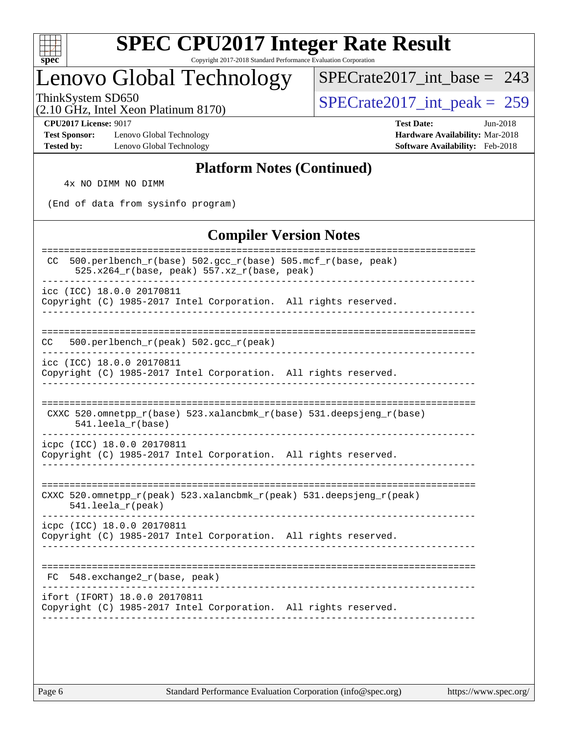

### Lenovo Global Technology

[SPECrate2017\\_int\\_base =](http://www.spec.org/auto/cpu2017/Docs/result-fields.html#SPECrate2017intbase) 243

(2.10 GHz, Intel Xeon Platinum 8170)

ThinkSystem SD650<br>(2.10 GHz, Intel Xeon Platinum 8170)  $\begin{array}{r} | \text{SPECrate2017\_int\_peak} = 259 \end{array}$ 

**[Test Sponsor:](http://www.spec.org/auto/cpu2017/Docs/result-fields.html#TestSponsor)** Lenovo Global Technology **[Hardware Availability:](http://www.spec.org/auto/cpu2017/Docs/result-fields.html#HardwareAvailability)** Mar-2018 **[Tested by:](http://www.spec.org/auto/cpu2017/Docs/result-fields.html#Testedby)** Lenovo Global Technology **[Software Availability:](http://www.spec.org/auto/cpu2017/Docs/result-fields.html#SoftwareAvailability)** Feb-2018

**[CPU2017 License:](http://www.spec.org/auto/cpu2017/Docs/result-fields.html#CPU2017License)** 9017 **[Test Date:](http://www.spec.org/auto/cpu2017/Docs/result-fields.html#TestDate)** Jun-2018

### **[Platform Notes \(Continued\)](http://www.spec.org/auto/cpu2017/Docs/result-fields.html#PlatformNotes)**

4x NO DIMM NO DIMM

(End of data from sysinfo program)

### **[Compiler Version Notes](http://www.spec.org/auto/cpu2017/Docs/result-fields.html#CompilerVersionNotes)**

| 500.perlbench_r(base) 502.gcc_r(base) 505.mcf_r(base, peak)<br>CC.<br>$525.x264_r(base, peak) 557.xz_r(base, peak)$ |
|---------------------------------------------------------------------------------------------------------------------|
| icc (ICC) 18.0.0 20170811<br>Copyright (C) 1985-2017 Intel Corporation. All rights reserved.                        |
| 500.perlbench_r(peak) 502.gcc_r(peak)<br>CC.                                                                        |
| icc (ICC) 18.0.0 20170811<br>Copyright (C) 1985-2017 Intel Corporation. All rights reserved.                        |
| CXXC 520.omnetpp_r(base) 523.xalancbmk_r(base) 531.deepsjeng_r(base)<br>$541.$ leela_r(base)                        |
| icpc (ICC) 18.0.0 20170811<br>Copyright (C) 1985-2017 Intel Corporation. All rights reserved.                       |
| CXXC 520.omnetpp_r(peak) 523.xalancbmk_r(peak) 531.deepsjeng_r(peak)<br>$541.$ leela_r(peak)                        |
| icpc (ICC) 18.0.0 20170811<br>Copyright (C) 1985-2017 Intel Corporation. All rights reserved.                       |
| 548.exchange2_r(base, peak)<br>FC.                                                                                  |
| ifort (IFORT) 18.0.0 20170811<br>Copyright (C) 1985-2017 Intel Corporation. All rights reserved.                    |
|                                                                                                                     |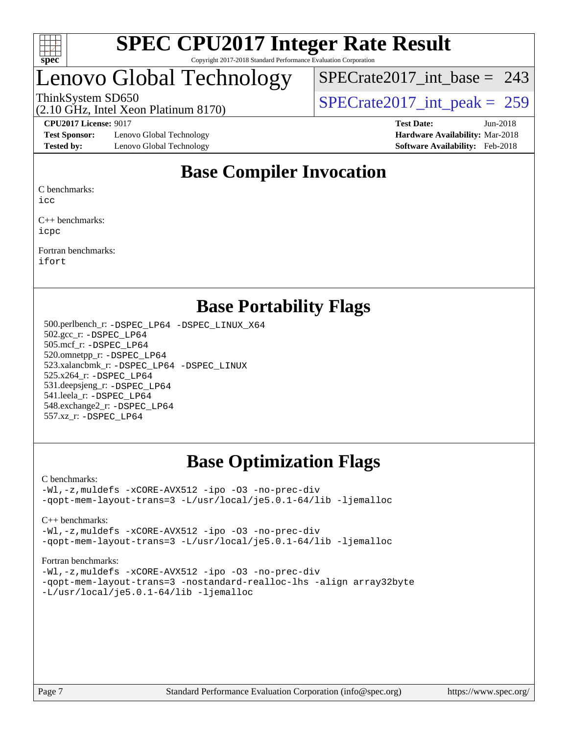

### Lenovo Global Technology

[SPECrate2017\\_int\\_base =](http://www.spec.org/auto/cpu2017/Docs/result-fields.html#SPECrate2017intbase) 243

(2.10 GHz, Intel Xeon Platinum 8170)

ThinkSystem SD650<br>  $\frac{10.644 \times 10^{14} \text{ J}}{259 \times 10^{14} \text{ J}}$  [SPECrate2017\\_int\\_peak =](http://www.spec.org/auto/cpu2017/Docs/result-fields.html#SPECrate2017intpeak) 259

**[Test Sponsor:](http://www.spec.org/auto/cpu2017/Docs/result-fields.html#TestSponsor)** Lenovo Global Technology **[Hardware Availability:](http://www.spec.org/auto/cpu2017/Docs/result-fields.html#HardwareAvailability)** Mar-2018 **[Tested by:](http://www.spec.org/auto/cpu2017/Docs/result-fields.html#Testedby)** Lenovo Global Technology **[Software Availability:](http://www.spec.org/auto/cpu2017/Docs/result-fields.html#SoftwareAvailability)** Feb-2018

**[CPU2017 License:](http://www.spec.org/auto/cpu2017/Docs/result-fields.html#CPU2017License)** 9017 **[Test Date:](http://www.spec.org/auto/cpu2017/Docs/result-fields.html#TestDate)** Jun-2018

### **[Base Compiler Invocation](http://www.spec.org/auto/cpu2017/Docs/result-fields.html#BaseCompilerInvocation)**

[C benchmarks:](http://www.spec.org/auto/cpu2017/Docs/result-fields.html#Cbenchmarks)

[icc](http://www.spec.org/cpu2017/results/res2018q3/cpu2017-20180625-07340.flags.html#user_CCbase_intel_icc_18.0_66fc1ee009f7361af1fbd72ca7dcefbb700085f36577c54f309893dd4ec40d12360134090235512931783d35fd58c0460139e722d5067c5574d8eaf2b3e37e92)

[C++ benchmarks](http://www.spec.org/auto/cpu2017/Docs/result-fields.html#CXXbenchmarks): [icpc](http://www.spec.org/cpu2017/results/res2018q3/cpu2017-20180625-07340.flags.html#user_CXXbase_intel_icpc_18.0_c510b6838c7f56d33e37e94d029a35b4a7bccf4766a728ee175e80a419847e808290a9b78be685c44ab727ea267ec2f070ec5dc83b407c0218cded6866a35d07)

[Fortran benchmarks:](http://www.spec.org/auto/cpu2017/Docs/result-fields.html#Fortranbenchmarks) [ifort](http://www.spec.org/cpu2017/results/res2018q3/cpu2017-20180625-07340.flags.html#user_FCbase_intel_ifort_18.0_8111460550e3ca792625aed983ce982f94888b8b503583aa7ba2b8303487b4d8a21a13e7191a45c5fd58ff318f48f9492884d4413fa793fd88dd292cad7027ca)

### **[Base Portability Flags](http://www.spec.org/auto/cpu2017/Docs/result-fields.html#BasePortabilityFlags)**

 500.perlbench\_r: [-DSPEC\\_LP64](http://www.spec.org/cpu2017/results/res2018q3/cpu2017-20180625-07340.flags.html#b500.perlbench_r_basePORTABILITY_DSPEC_LP64) [-DSPEC\\_LINUX\\_X64](http://www.spec.org/cpu2017/results/res2018q3/cpu2017-20180625-07340.flags.html#b500.perlbench_r_baseCPORTABILITY_DSPEC_LINUX_X64) 502.gcc\_r: [-DSPEC\\_LP64](http://www.spec.org/cpu2017/results/res2018q3/cpu2017-20180625-07340.flags.html#suite_basePORTABILITY502_gcc_r_DSPEC_LP64) 505.mcf\_r: [-DSPEC\\_LP64](http://www.spec.org/cpu2017/results/res2018q3/cpu2017-20180625-07340.flags.html#suite_basePORTABILITY505_mcf_r_DSPEC_LP64) 520.omnetpp\_r: [-DSPEC\\_LP64](http://www.spec.org/cpu2017/results/res2018q3/cpu2017-20180625-07340.flags.html#suite_basePORTABILITY520_omnetpp_r_DSPEC_LP64) 523.xalancbmk\_r: [-DSPEC\\_LP64](http://www.spec.org/cpu2017/results/res2018q3/cpu2017-20180625-07340.flags.html#suite_basePORTABILITY523_xalancbmk_r_DSPEC_LP64) [-DSPEC\\_LINUX](http://www.spec.org/cpu2017/results/res2018q3/cpu2017-20180625-07340.flags.html#b523.xalancbmk_r_baseCXXPORTABILITY_DSPEC_LINUX) 525.x264\_r: [-DSPEC\\_LP64](http://www.spec.org/cpu2017/results/res2018q3/cpu2017-20180625-07340.flags.html#suite_basePORTABILITY525_x264_r_DSPEC_LP64) 531.deepsjeng\_r: [-DSPEC\\_LP64](http://www.spec.org/cpu2017/results/res2018q3/cpu2017-20180625-07340.flags.html#suite_basePORTABILITY531_deepsjeng_r_DSPEC_LP64) 541.leela\_r: [-DSPEC\\_LP64](http://www.spec.org/cpu2017/results/res2018q3/cpu2017-20180625-07340.flags.html#suite_basePORTABILITY541_leela_r_DSPEC_LP64) 548.exchange2\_r: [-DSPEC\\_LP64](http://www.spec.org/cpu2017/results/res2018q3/cpu2017-20180625-07340.flags.html#suite_basePORTABILITY548_exchange2_r_DSPEC_LP64) 557.xz\_r: [-DSPEC\\_LP64](http://www.spec.org/cpu2017/results/res2018q3/cpu2017-20180625-07340.flags.html#suite_basePORTABILITY557_xz_r_DSPEC_LP64)

### **[Base Optimization Flags](http://www.spec.org/auto/cpu2017/Docs/result-fields.html#BaseOptimizationFlags)**

#### [C benchmarks](http://www.spec.org/auto/cpu2017/Docs/result-fields.html#Cbenchmarks):

[-Wl,-z,muldefs](http://www.spec.org/cpu2017/results/res2018q3/cpu2017-20180625-07340.flags.html#user_CCbase_link_force_multiple1_b4cbdb97b34bdee9ceefcfe54f4c8ea74255f0b02a4b23e853cdb0e18eb4525ac79b5a88067c842dd0ee6996c24547a27a4b99331201badda8798ef8a743f577) [-xCORE-AVX512](http://www.spec.org/cpu2017/results/res2018q3/cpu2017-20180625-07340.flags.html#user_CCbase_f-xCORE-AVX512) [-ipo](http://www.spec.org/cpu2017/results/res2018q3/cpu2017-20180625-07340.flags.html#user_CCbase_f-ipo) [-O3](http://www.spec.org/cpu2017/results/res2018q3/cpu2017-20180625-07340.flags.html#user_CCbase_f-O3) [-no-prec-div](http://www.spec.org/cpu2017/results/res2018q3/cpu2017-20180625-07340.flags.html#user_CCbase_f-no-prec-div) [-qopt-mem-layout-trans=3](http://www.spec.org/cpu2017/results/res2018q3/cpu2017-20180625-07340.flags.html#user_CCbase_f-qopt-mem-layout-trans_de80db37974c74b1f0e20d883f0b675c88c3b01e9d123adea9b28688d64333345fb62bc4a798493513fdb68f60282f9a726aa07f478b2f7113531aecce732043) [-L/usr/local/je5.0.1-64/lib](http://www.spec.org/cpu2017/results/res2018q3/cpu2017-20180625-07340.flags.html#user_CCbase_jemalloc_link_path64_4b10a636b7bce113509b17f3bd0d6226c5fb2346b9178c2d0232c14f04ab830f976640479e5c33dc2bcbbdad86ecfb6634cbbd4418746f06f368b512fced5394) [-ljemalloc](http://www.spec.org/cpu2017/results/res2018q3/cpu2017-20180625-07340.flags.html#user_CCbase_jemalloc_link_lib_d1249b907c500fa1c0672f44f562e3d0f79738ae9e3c4a9c376d49f265a04b9c99b167ecedbf6711b3085be911c67ff61f150a17b3472be731631ba4d0471706)

[C++ benchmarks:](http://www.spec.org/auto/cpu2017/Docs/result-fields.html#CXXbenchmarks)

[-Wl,-z,muldefs](http://www.spec.org/cpu2017/results/res2018q3/cpu2017-20180625-07340.flags.html#user_CXXbase_link_force_multiple1_b4cbdb97b34bdee9ceefcfe54f4c8ea74255f0b02a4b23e853cdb0e18eb4525ac79b5a88067c842dd0ee6996c24547a27a4b99331201badda8798ef8a743f577) [-xCORE-AVX512](http://www.spec.org/cpu2017/results/res2018q3/cpu2017-20180625-07340.flags.html#user_CXXbase_f-xCORE-AVX512) [-ipo](http://www.spec.org/cpu2017/results/res2018q3/cpu2017-20180625-07340.flags.html#user_CXXbase_f-ipo) [-O3](http://www.spec.org/cpu2017/results/res2018q3/cpu2017-20180625-07340.flags.html#user_CXXbase_f-O3) [-no-prec-div](http://www.spec.org/cpu2017/results/res2018q3/cpu2017-20180625-07340.flags.html#user_CXXbase_f-no-prec-div) [-qopt-mem-layout-trans=3](http://www.spec.org/cpu2017/results/res2018q3/cpu2017-20180625-07340.flags.html#user_CXXbase_f-qopt-mem-layout-trans_de80db37974c74b1f0e20d883f0b675c88c3b01e9d123adea9b28688d64333345fb62bc4a798493513fdb68f60282f9a726aa07f478b2f7113531aecce732043) [-L/usr/local/je5.0.1-64/lib](http://www.spec.org/cpu2017/results/res2018q3/cpu2017-20180625-07340.flags.html#user_CXXbase_jemalloc_link_path64_4b10a636b7bce113509b17f3bd0d6226c5fb2346b9178c2d0232c14f04ab830f976640479e5c33dc2bcbbdad86ecfb6634cbbd4418746f06f368b512fced5394) [-ljemalloc](http://www.spec.org/cpu2017/results/res2018q3/cpu2017-20180625-07340.flags.html#user_CXXbase_jemalloc_link_lib_d1249b907c500fa1c0672f44f562e3d0f79738ae9e3c4a9c376d49f265a04b9c99b167ecedbf6711b3085be911c67ff61f150a17b3472be731631ba4d0471706)

[Fortran benchmarks](http://www.spec.org/auto/cpu2017/Docs/result-fields.html#Fortranbenchmarks):

[-Wl,-z,muldefs](http://www.spec.org/cpu2017/results/res2018q3/cpu2017-20180625-07340.flags.html#user_FCbase_link_force_multiple1_b4cbdb97b34bdee9ceefcfe54f4c8ea74255f0b02a4b23e853cdb0e18eb4525ac79b5a88067c842dd0ee6996c24547a27a4b99331201badda8798ef8a743f577) [-xCORE-AVX512](http://www.spec.org/cpu2017/results/res2018q3/cpu2017-20180625-07340.flags.html#user_FCbase_f-xCORE-AVX512) [-ipo](http://www.spec.org/cpu2017/results/res2018q3/cpu2017-20180625-07340.flags.html#user_FCbase_f-ipo) [-O3](http://www.spec.org/cpu2017/results/res2018q3/cpu2017-20180625-07340.flags.html#user_FCbase_f-O3) [-no-prec-div](http://www.spec.org/cpu2017/results/res2018q3/cpu2017-20180625-07340.flags.html#user_FCbase_f-no-prec-div) [-qopt-mem-layout-trans=3](http://www.spec.org/cpu2017/results/res2018q3/cpu2017-20180625-07340.flags.html#user_FCbase_f-qopt-mem-layout-trans_de80db37974c74b1f0e20d883f0b675c88c3b01e9d123adea9b28688d64333345fb62bc4a798493513fdb68f60282f9a726aa07f478b2f7113531aecce732043) [-nostandard-realloc-lhs](http://www.spec.org/cpu2017/results/res2018q3/cpu2017-20180625-07340.flags.html#user_FCbase_f_2003_std_realloc_82b4557e90729c0f113870c07e44d33d6f5a304b4f63d4c15d2d0f1fab99f5daaed73bdb9275d9ae411527f28b936061aa8b9c8f2d63842963b95c9dd6426b8a) [-align array32byte](http://www.spec.org/cpu2017/results/res2018q3/cpu2017-20180625-07340.flags.html#user_FCbase_align_array32byte_b982fe038af199962ba9a80c053b8342c548c85b40b8e86eb3cc33dee0d7986a4af373ac2d51c3f7cf710a18d62fdce2948f201cd044323541f22fc0fffc51b6) [-L/usr/local/je5.0.1-64/lib](http://www.spec.org/cpu2017/results/res2018q3/cpu2017-20180625-07340.flags.html#user_FCbase_jemalloc_link_path64_4b10a636b7bce113509b17f3bd0d6226c5fb2346b9178c2d0232c14f04ab830f976640479e5c33dc2bcbbdad86ecfb6634cbbd4418746f06f368b512fced5394) [-ljemalloc](http://www.spec.org/cpu2017/results/res2018q3/cpu2017-20180625-07340.flags.html#user_FCbase_jemalloc_link_lib_d1249b907c500fa1c0672f44f562e3d0f79738ae9e3c4a9c376d49f265a04b9c99b167ecedbf6711b3085be911c67ff61f150a17b3472be731631ba4d0471706)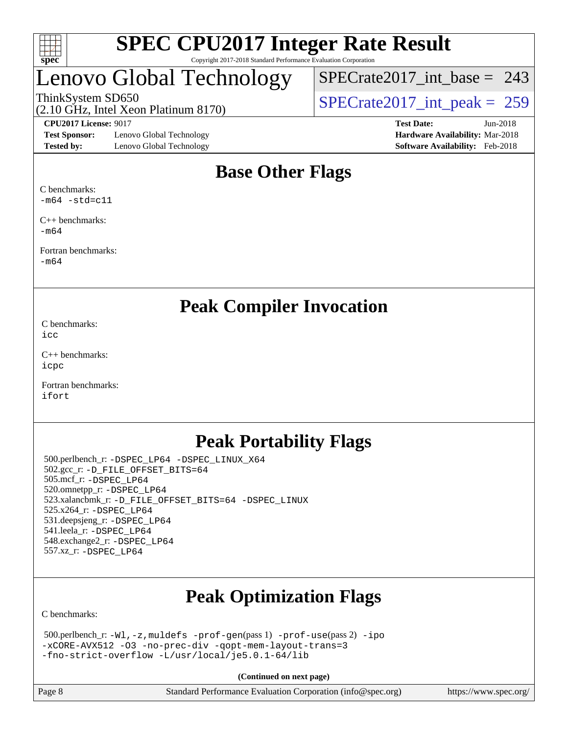

# enovo Global Technology

[SPECrate2017\\_int\\_base =](http://www.spec.org/auto/cpu2017/Docs/result-fields.html#SPECrate2017intbase) 243

(2.10 GHz, Intel Xeon Platinum 8170) ThinkSystem SD650<br>(2.10 GHz, Intel Xeon Platinum 8170)  $\begin{array}{r} | \text{SPECrate2017\_int\_peak} = 259 \end{array}$ 

**[Test Sponsor:](http://www.spec.org/auto/cpu2017/Docs/result-fields.html#TestSponsor)** Lenovo Global Technology **[Hardware Availability:](http://www.spec.org/auto/cpu2017/Docs/result-fields.html#HardwareAvailability)** Mar-2018 **[Tested by:](http://www.spec.org/auto/cpu2017/Docs/result-fields.html#Testedby)** Lenovo Global Technology **[Software Availability:](http://www.spec.org/auto/cpu2017/Docs/result-fields.html#SoftwareAvailability)** Feb-2018

**[CPU2017 License:](http://www.spec.org/auto/cpu2017/Docs/result-fields.html#CPU2017License)** 9017 **[Test Date:](http://www.spec.org/auto/cpu2017/Docs/result-fields.html#TestDate)** Jun-2018

### **[Base Other Flags](http://www.spec.org/auto/cpu2017/Docs/result-fields.html#BaseOtherFlags)**

[C benchmarks:](http://www.spec.org/auto/cpu2017/Docs/result-fields.html#Cbenchmarks)  $-m64$   $-std=c11$ 

[C++ benchmarks:](http://www.spec.org/auto/cpu2017/Docs/result-fields.html#CXXbenchmarks) [-m64](http://www.spec.org/cpu2017/results/res2018q3/cpu2017-20180625-07340.flags.html#user_CXXbase_intel_intel64_18.0_af43caccfc8ded86e7699f2159af6efc7655f51387b94da716254467f3c01020a5059329e2569e4053f409e7c9202a7efc638f7a6d1ffb3f52dea4a3e31d82ab)

[Fortran benchmarks](http://www.spec.org/auto/cpu2017/Docs/result-fields.html#Fortranbenchmarks): [-m64](http://www.spec.org/cpu2017/results/res2018q3/cpu2017-20180625-07340.flags.html#user_FCbase_intel_intel64_18.0_af43caccfc8ded86e7699f2159af6efc7655f51387b94da716254467f3c01020a5059329e2569e4053f409e7c9202a7efc638f7a6d1ffb3f52dea4a3e31d82ab)

**[Peak Compiler Invocation](http://www.spec.org/auto/cpu2017/Docs/result-fields.html#PeakCompilerInvocation)**

[C benchmarks](http://www.spec.org/auto/cpu2017/Docs/result-fields.html#Cbenchmarks): [icc](http://www.spec.org/cpu2017/results/res2018q3/cpu2017-20180625-07340.flags.html#user_CCpeak_intel_icc_18.0_66fc1ee009f7361af1fbd72ca7dcefbb700085f36577c54f309893dd4ec40d12360134090235512931783d35fd58c0460139e722d5067c5574d8eaf2b3e37e92)

[C++ benchmarks:](http://www.spec.org/auto/cpu2017/Docs/result-fields.html#CXXbenchmarks) [icpc](http://www.spec.org/cpu2017/results/res2018q3/cpu2017-20180625-07340.flags.html#user_CXXpeak_intel_icpc_18.0_c510b6838c7f56d33e37e94d029a35b4a7bccf4766a728ee175e80a419847e808290a9b78be685c44ab727ea267ec2f070ec5dc83b407c0218cded6866a35d07)

[Fortran benchmarks](http://www.spec.org/auto/cpu2017/Docs/result-fields.html#Fortranbenchmarks): [ifort](http://www.spec.org/cpu2017/results/res2018q3/cpu2017-20180625-07340.flags.html#user_FCpeak_intel_ifort_18.0_8111460550e3ca792625aed983ce982f94888b8b503583aa7ba2b8303487b4d8a21a13e7191a45c5fd58ff318f48f9492884d4413fa793fd88dd292cad7027ca)

### **[Peak Portability Flags](http://www.spec.org/auto/cpu2017/Docs/result-fields.html#PeakPortabilityFlags)**

 500.perlbench\_r: [-DSPEC\\_LP64](http://www.spec.org/cpu2017/results/res2018q3/cpu2017-20180625-07340.flags.html#b500.perlbench_r_peakPORTABILITY_DSPEC_LP64) [-DSPEC\\_LINUX\\_X64](http://www.spec.org/cpu2017/results/res2018q3/cpu2017-20180625-07340.flags.html#b500.perlbench_r_peakCPORTABILITY_DSPEC_LINUX_X64) 502.gcc\_r: [-D\\_FILE\\_OFFSET\\_BITS=64](http://www.spec.org/cpu2017/results/res2018q3/cpu2017-20180625-07340.flags.html#user_peakPORTABILITY502_gcc_r_file_offset_bits_64_5ae949a99b284ddf4e95728d47cb0843d81b2eb0e18bdfe74bbf0f61d0b064f4bda2f10ea5eb90e1dcab0e84dbc592acfc5018bc955c18609f94ddb8d550002c) 505.mcf\_r: [-DSPEC\\_LP64](http://www.spec.org/cpu2017/results/res2018q3/cpu2017-20180625-07340.flags.html#suite_peakPORTABILITY505_mcf_r_DSPEC_LP64) 520.omnetpp\_r: [-DSPEC\\_LP64](http://www.spec.org/cpu2017/results/res2018q3/cpu2017-20180625-07340.flags.html#suite_peakPORTABILITY520_omnetpp_r_DSPEC_LP64) 523.xalancbmk\_r: [-D\\_FILE\\_OFFSET\\_BITS=64](http://www.spec.org/cpu2017/results/res2018q3/cpu2017-20180625-07340.flags.html#user_peakPORTABILITY523_xalancbmk_r_file_offset_bits_64_5ae949a99b284ddf4e95728d47cb0843d81b2eb0e18bdfe74bbf0f61d0b064f4bda2f10ea5eb90e1dcab0e84dbc592acfc5018bc955c18609f94ddb8d550002c) [-DSPEC\\_LINUX](http://www.spec.org/cpu2017/results/res2018q3/cpu2017-20180625-07340.flags.html#b523.xalancbmk_r_peakCXXPORTABILITY_DSPEC_LINUX) 525.x264\_r: [-DSPEC\\_LP64](http://www.spec.org/cpu2017/results/res2018q3/cpu2017-20180625-07340.flags.html#suite_peakPORTABILITY525_x264_r_DSPEC_LP64) 531.deepsjeng\_r: [-DSPEC\\_LP64](http://www.spec.org/cpu2017/results/res2018q3/cpu2017-20180625-07340.flags.html#suite_peakPORTABILITY531_deepsjeng_r_DSPEC_LP64) 541.leela\_r: [-DSPEC\\_LP64](http://www.spec.org/cpu2017/results/res2018q3/cpu2017-20180625-07340.flags.html#suite_peakPORTABILITY541_leela_r_DSPEC_LP64) 548.exchange2\_r: [-DSPEC\\_LP64](http://www.spec.org/cpu2017/results/res2018q3/cpu2017-20180625-07340.flags.html#suite_peakPORTABILITY548_exchange2_r_DSPEC_LP64) 557.xz\_r: [-DSPEC\\_LP64](http://www.spec.org/cpu2017/results/res2018q3/cpu2017-20180625-07340.flags.html#suite_peakPORTABILITY557_xz_r_DSPEC_LP64)

## **[Peak Optimization Flags](http://www.spec.org/auto/cpu2017/Docs/result-fields.html#PeakOptimizationFlags)**

[C benchmarks](http://www.spec.org/auto/cpu2017/Docs/result-fields.html#Cbenchmarks):

```
 500.perlbench_r: -Wl,-z,muldefs -prof-gen(pass 1) -prof-use(pass 2) -ipo
-xCORE-AVX512 -O3 -no-prec-div -qopt-mem-layout-trans=3
-fno-strict-overflow -L/usr/local/je5.0.1-64/lib
```
**(Continued on next page)**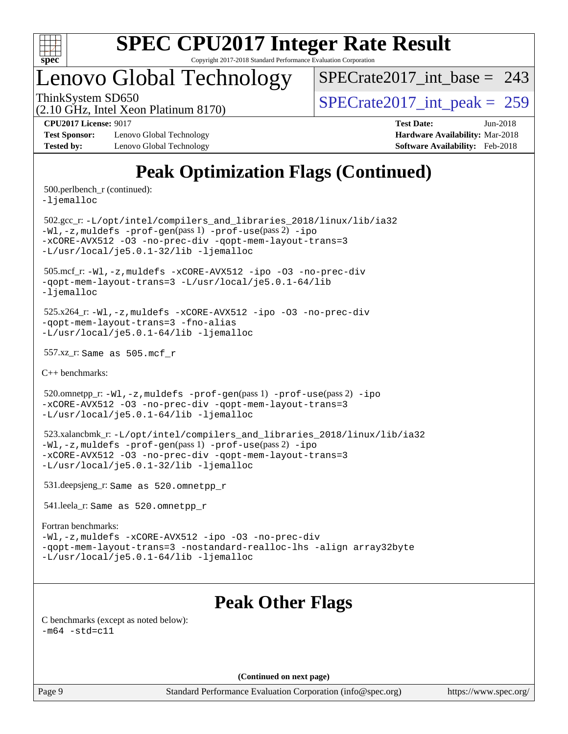

### Lenovo Global Technology

 $SPECrate2017\_int\_base = 243$ 

(2.10 GHz, Intel Xeon Platinum 8170)

ThinkSystem SD650  $SPECrate2017\_int\_peak = 259$ 

**[Test Sponsor:](http://www.spec.org/auto/cpu2017/Docs/result-fields.html#TestSponsor)** Lenovo Global Technology **[Hardware Availability:](http://www.spec.org/auto/cpu2017/Docs/result-fields.html#HardwareAvailability)** Mar-2018 **[Tested by:](http://www.spec.org/auto/cpu2017/Docs/result-fields.html#Testedby)** Lenovo Global Technology **[Software Availability:](http://www.spec.org/auto/cpu2017/Docs/result-fields.html#SoftwareAvailability)** Feb-2018

**[CPU2017 License:](http://www.spec.org/auto/cpu2017/Docs/result-fields.html#CPU2017License)** 9017 **[Test Date:](http://www.spec.org/auto/cpu2017/Docs/result-fields.html#TestDate)** Jun-2018

### **[Peak Optimization Flags \(Continued\)](http://www.spec.org/auto/cpu2017/Docs/result-fields.html#PeakOptimizationFlags)**

500.perlbench\_r (continued):

[-ljemalloc](http://www.spec.org/cpu2017/results/res2018q3/cpu2017-20180625-07340.flags.html#user_peakEXTRA_LIBS500_perlbench_r_jemalloc_link_lib_d1249b907c500fa1c0672f44f562e3d0f79738ae9e3c4a9c376d49f265a04b9c99b167ecedbf6711b3085be911c67ff61f150a17b3472be731631ba4d0471706)

 502.gcc\_r: [-L/opt/intel/compilers\\_and\\_libraries\\_2018/linux/lib/ia32](http://www.spec.org/cpu2017/results/res2018q3/cpu2017-20180625-07340.flags.html#user_peakCCLD502_gcc_r_Enable-32bit-runtime_af243bdb1d79e4c7a4f720bf8275e627de2ecd461de63307bc14cef0633fde3cd7bb2facb32dcc8be9566045fb55d40ce2b72b725f73827aa7833441b71b9343) [-Wl,-z,muldefs](http://www.spec.org/cpu2017/results/res2018q3/cpu2017-20180625-07340.flags.html#user_peakEXTRA_LDFLAGS502_gcc_r_link_force_multiple1_b4cbdb97b34bdee9ceefcfe54f4c8ea74255f0b02a4b23e853cdb0e18eb4525ac79b5a88067c842dd0ee6996c24547a27a4b99331201badda8798ef8a743f577) [-prof-gen](http://www.spec.org/cpu2017/results/res2018q3/cpu2017-20180625-07340.flags.html#user_peakPASS1_CFLAGSPASS1_LDFLAGS502_gcc_r_prof_gen_5aa4926d6013ddb2a31985c654b3eb18169fc0c6952a63635c234f711e6e63dd76e94ad52365559451ec499a2cdb89e4dc58ba4c67ef54ca681ffbe1461d6b36)(pass 1) [-prof-use](http://www.spec.org/cpu2017/results/res2018q3/cpu2017-20180625-07340.flags.html#user_peakPASS2_CFLAGSPASS2_LDFLAGS502_gcc_r_prof_use_1a21ceae95f36a2b53c25747139a6c16ca95bd9def2a207b4f0849963b97e94f5260e30a0c64f4bb623698870e679ca08317ef8150905d41bd88c6f78df73f19)(pass 2) [-ipo](http://www.spec.org/cpu2017/results/res2018q3/cpu2017-20180625-07340.flags.html#user_peakPASS1_COPTIMIZEPASS2_COPTIMIZE502_gcc_r_f-ipo) [-xCORE-AVX512](http://www.spec.org/cpu2017/results/res2018q3/cpu2017-20180625-07340.flags.html#user_peakPASS2_COPTIMIZE502_gcc_r_f-xCORE-AVX512) [-O3](http://www.spec.org/cpu2017/results/res2018q3/cpu2017-20180625-07340.flags.html#user_peakPASS1_COPTIMIZEPASS2_COPTIMIZE502_gcc_r_f-O3) [-no-prec-div](http://www.spec.org/cpu2017/results/res2018q3/cpu2017-20180625-07340.flags.html#user_peakPASS1_COPTIMIZEPASS2_COPTIMIZE502_gcc_r_f-no-prec-div) [-qopt-mem-layout-trans=3](http://www.spec.org/cpu2017/results/res2018q3/cpu2017-20180625-07340.flags.html#user_peakPASS1_COPTIMIZEPASS2_COPTIMIZE502_gcc_r_f-qopt-mem-layout-trans_de80db37974c74b1f0e20d883f0b675c88c3b01e9d123adea9b28688d64333345fb62bc4a798493513fdb68f60282f9a726aa07f478b2f7113531aecce732043) [-L/usr/local/je5.0.1-32/lib](http://www.spec.org/cpu2017/results/res2018q3/cpu2017-20180625-07340.flags.html#user_peakEXTRA_LIBS502_gcc_r_jemalloc_link_path32_e29f22e8e6c17053bbc6a0971f5a9c01a601a06bb1a59df2084b77a2fe0a2995b64fd4256feaeea39eeba3aae142e96e2b2b0a28974019c0c0c88139a84f900a) [-ljemalloc](http://www.spec.org/cpu2017/results/res2018q3/cpu2017-20180625-07340.flags.html#user_peakEXTRA_LIBS502_gcc_r_jemalloc_link_lib_d1249b907c500fa1c0672f44f562e3d0f79738ae9e3c4a9c376d49f265a04b9c99b167ecedbf6711b3085be911c67ff61f150a17b3472be731631ba4d0471706)

 505.mcf\_r: [-Wl,-z,muldefs](http://www.spec.org/cpu2017/results/res2018q3/cpu2017-20180625-07340.flags.html#user_peakEXTRA_LDFLAGS505_mcf_r_link_force_multiple1_b4cbdb97b34bdee9ceefcfe54f4c8ea74255f0b02a4b23e853cdb0e18eb4525ac79b5a88067c842dd0ee6996c24547a27a4b99331201badda8798ef8a743f577) [-xCORE-AVX512](http://www.spec.org/cpu2017/results/res2018q3/cpu2017-20180625-07340.flags.html#user_peakCOPTIMIZE505_mcf_r_f-xCORE-AVX512) [-ipo](http://www.spec.org/cpu2017/results/res2018q3/cpu2017-20180625-07340.flags.html#user_peakCOPTIMIZE505_mcf_r_f-ipo) [-O3](http://www.spec.org/cpu2017/results/res2018q3/cpu2017-20180625-07340.flags.html#user_peakCOPTIMIZE505_mcf_r_f-O3) [-no-prec-div](http://www.spec.org/cpu2017/results/res2018q3/cpu2017-20180625-07340.flags.html#user_peakCOPTIMIZE505_mcf_r_f-no-prec-div) [-qopt-mem-layout-trans=3](http://www.spec.org/cpu2017/results/res2018q3/cpu2017-20180625-07340.flags.html#user_peakCOPTIMIZE505_mcf_r_f-qopt-mem-layout-trans_de80db37974c74b1f0e20d883f0b675c88c3b01e9d123adea9b28688d64333345fb62bc4a798493513fdb68f60282f9a726aa07f478b2f7113531aecce732043) [-L/usr/local/je5.0.1-64/lib](http://www.spec.org/cpu2017/results/res2018q3/cpu2017-20180625-07340.flags.html#user_peakEXTRA_LIBS505_mcf_r_jemalloc_link_path64_4b10a636b7bce113509b17f3bd0d6226c5fb2346b9178c2d0232c14f04ab830f976640479e5c33dc2bcbbdad86ecfb6634cbbd4418746f06f368b512fced5394) [-ljemalloc](http://www.spec.org/cpu2017/results/res2018q3/cpu2017-20180625-07340.flags.html#user_peakEXTRA_LIBS505_mcf_r_jemalloc_link_lib_d1249b907c500fa1c0672f44f562e3d0f79738ae9e3c4a9c376d49f265a04b9c99b167ecedbf6711b3085be911c67ff61f150a17b3472be731631ba4d0471706)

 525.x264\_r: [-Wl,-z,muldefs](http://www.spec.org/cpu2017/results/res2018q3/cpu2017-20180625-07340.flags.html#user_peakEXTRA_LDFLAGS525_x264_r_link_force_multiple1_b4cbdb97b34bdee9ceefcfe54f4c8ea74255f0b02a4b23e853cdb0e18eb4525ac79b5a88067c842dd0ee6996c24547a27a4b99331201badda8798ef8a743f577) [-xCORE-AVX512](http://www.spec.org/cpu2017/results/res2018q3/cpu2017-20180625-07340.flags.html#user_peakCOPTIMIZE525_x264_r_f-xCORE-AVX512) [-ipo](http://www.spec.org/cpu2017/results/res2018q3/cpu2017-20180625-07340.flags.html#user_peakCOPTIMIZE525_x264_r_f-ipo) [-O3](http://www.spec.org/cpu2017/results/res2018q3/cpu2017-20180625-07340.flags.html#user_peakCOPTIMIZE525_x264_r_f-O3) [-no-prec-div](http://www.spec.org/cpu2017/results/res2018q3/cpu2017-20180625-07340.flags.html#user_peakCOPTIMIZE525_x264_r_f-no-prec-div) [-qopt-mem-layout-trans=3](http://www.spec.org/cpu2017/results/res2018q3/cpu2017-20180625-07340.flags.html#user_peakCOPTIMIZE525_x264_r_f-qopt-mem-layout-trans_de80db37974c74b1f0e20d883f0b675c88c3b01e9d123adea9b28688d64333345fb62bc4a798493513fdb68f60282f9a726aa07f478b2f7113531aecce732043) [-fno-alias](http://www.spec.org/cpu2017/results/res2018q3/cpu2017-20180625-07340.flags.html#user_peakEXTRA_OPTIMIZE525_x264_r_f-no-alias_77dbac10d91cbfe898fbf4a29d1b29b694089caa623bdd1baccc9957d4edbe8d106c0b357e2748a65b44fc9e83d78098bb898077f3fe92f9faf24f7bd4a07ed7) [-L/usr/local/je5.0.1-64/lib](http://www.spec.org/cpu2017/results/res2018q3/cpu2017-20180625-07340.flags.html#user_peakEXTRA_LIBS525_x264_r_jemalloc_link_path64_4b10a636b7bce113509b17f3bd0d6226c5fb2346b9178c2d0232c14f04ab830f976640479e5c33dc2bcbbdad86ecfb6634cbbd4418746f06f368b512fced5394) [-ljemalloc](http://www.spec.org/cpu2017/results/res2018q3/cpu2017-20180625-07340.flags.html#user_peakEXTRA_LIBS525_x264_r_jemalloc_link_lib_d1249b907c500fa1c0672f44f562e3d0f79738ae9e3c4a9c376d49f265a04b9c99b167ecedbf6711b3085be911c67ff61f150a17b3472be731631ba4d0471706)

557.xz\_r: Same as 505.mcf\_r

[C++ benchmarks:](http://www.spec.org/auto/cpu2017/Docs/result-fields.html#CXXbenchmarks)

520.omnetpp\_r: $-Wl$ ,-z,muldefs -prof-qen(pass 1) [-prof-use](http://www.spec.org/cpu2017/results/res2018q3/cpu2017-20180625-07340.flags.html#user_peakPASS2_CXXFLAGSPASS2_LDFLAGS520_omnetpp_r_prof_use_1a21ceae95f36a2b53c25747139a6c16ca95bd9def2a207b4f0849963b97e94f5260e30a0c64f4bb623698870e679ca08317ef8150905d41bd88c6f78df73f19)(pass 2) [-ipo](http://www.spec.org/cpu2017/results/res2018q3/cpu2017-20180625-07340.flags.html#user_peakPASS1_CXXOPTIMIZEPASS2_CXXOPTIMIZE520_omnetpp_r_f-ipo) [-xCORE-AVX512](http://www.spec.org/cpu2017/results/res2018q3/cpu2017-20180625-07340.flags.html#user_peakPASS2_CXXOPTIMIZE520_omnetpp_r_f-xCORE-AVX512) [-O3](http://www.spec.org/cpu2017/results/res2018q3/cpu2017-20180625-07340.flags.html#user_peakPASS1_CXXOPTIMIZEPASS2_CXXOPTIMIZE520_omnetpp_r_f-O3) [-no-prec-div](http://www.spec.org/cpu2017/results/res2018q3/cpu2017-20180625-07340.flags.html#user_peakPASS1_CXXOPTIMIZEPASS2_CXXOPTIMIZE520_omnetpp_r_f-no-prec-div) [-qopt-mem-layout-trans=3](http://www.spec.org/cpu2017/results/res2018q3/cpu2017-20180625-07340.flags.html#user_peakPASS1_CXXOPTIMIZEPASS2_CXXOPTIMIZE520_omnetpp_r_f-qopt-mem-layout-trans_de80db37974c74b1f0e20d883f0b675c88c3b01e9d123adea9b28688d64333345fb62bc4a798493513fdb68f60282f9a726aa07f478b2f7113531aecce732043) [-L/usr/local/je5.0.1-64/lib](http://www.spec.org/cpu2017/results/res2018q3/cpu2017-20180625-07340.flags.html#user_peakEXTRA_LIBS520_omnetpp_r_jemalloc_link_path64_4b10a636b7bce113509b17f3bd0d6226c5fb2346b9178c2d0232c14f04ab830f976640479e5c33dc2bcbbdad86ecfb6634cbbd4418746f06f368b512fced5394) [-ljemalloc](http://www.spec.org/cpu2017/results/res2018q3/cpu2017-20180625-07340.flags.html#user_peakEXTRA_LIBS520_omnetpp_r_jemalloc_link_lib_d1249b907c500fa1c0672f44f562e3d0f79738ae9e3c4a9c376d49f265a04b9c99b167ecedbf6711b3085be911c67ff61f150a17b3472be731631ba4d0471706)

 523.xalancbmk\_r: [-L/opt/intel/compilers\\_and\\_libraries\\_2018/linux/lib/ia32](http://www.spec.org/cpu2017/results/res2018q3/cpu2017-20180625-07340.flags.html#user_peakCXXLD523_xalancbmk_r_Enable-32bit-runtime_af243bdb1d79e4c7a4f720bf8275e627de2ecd461de63307bc14cef0633fde3cd7bb2facb32dcc8be9566045fb55d40ce2b72b725f73827aa7833441b71b9343) [-Wl,-z,muldefs](http://www.spec.org/cpu2017/results/res2018q3/cpu2017-20180625-07340.flags.html#user_peakEXTRA_LDFLAGS523_xalancbmk_r_link_force_multiple1_b4cbdb97b34bdee9ceefcfe54f4c8ea74255f0b02a4b23e853cdb0e18eb4525ac79b5a88067c842dd0ee6996c24547a27a4b99331201badda8798ef8a743f577) [-prof-gen](http://www.spec.org/cpu2017/results/res2018q3/cpu2017-20180625-07340.flags.html#user_peakPASS1_CXXFLAGSPASS1_LDFLAGS523_xalancbmk_r_prof_gen_5aa4926d6013ddb2a31985c654b3eb18169fc0c6952a63635c234f711e6e63dd76e94ad52365559451ec499a2cdb89e4dc58ba4c67ef54ca681ffbe1461d6b36)(pass 1) [-prof-use](http://www.spec.org/cpu2017/results/res2018q3/cpu2017-20180625-07340.flags.html#user_peakPASS2_CXXFLAGSPASS2_LDFLAGS523_xalancbmk_r_prof_use_1a21ceae95f36a2b53c25747139a6c16ca95bd9def2a207b4f0849963b97e94f5260e30a0c64f4bb623698870e679ca08317ef8150905d41bd88c6f78df73f19)(pass 2) [-ipo](http://www.spec.org/cpu2017/results/res2018q3/cpu2017-20180625-07340.flags.html#user_peakPASS1_CXXOPTIMIZEPASS2_CXXOPTIMIZE523_xalancbmk_r_f-ipo) [-xCORE-AVX512](http://www.spec.org/cpu2017/results/res2018q3/cpu2017-20180625-07340.flags.html#user_peakPASS2_CXXOPTIMIZE523_xalancbmk_r_f-xCORE-AVX512) [-O3](http://www.spec.org/cpu2017/results/res2018q3/cpu2017-20180625-07340.flags.html#user_peakPASS1_CXXOPTIMIZEPASS2_CXXOPTIMIZE523_xalancbmk_r_f-O3) [-no-prec-div](http://www.spec.org/cpu2017/results/res2018q3/cpu2017-20180625-07340.flags.html#user_peakPASS1_CXXOPTIMIZEPASS2_CXXOPTIMIZE523_xalancbmk_r_f-no-prec-div) [-qopt-mem-layout-trans=3](http://www.spec.org/cpu2017/results/res2018q3/cpu2017-20180625-07340.flags.html#user_peakPASS1_CXXOPTIMIZEPASS2_CXXOPTIMIZE523_xalancbmk_r_f-qopt-mem-layout-trans_de80db37974c74b1f0e20d883f0b675c88c3b01e9d123adea9b28688d64333345fb62bc4a798493513fdb68f60282f9a726aa07f478b2f7113531aecce732043) [-L/usr/local/je5.0.1-32/lib](http://www.spec.org/cpu2017/results/res2018q3/cpu2017-20180625-07340.flags.html#user_peakEXTRA_LIBS523_xalancbmk_r_jemalloc_link_path32_e29f22e8e6c17053bbc6a0971f5a9c01a601a06bb1a59df2084b77a2fe0a2995b64fd4256feaeea39eeba3aae142e96e2b2b0a28974019c0c0c88139a84f900a) [-ljemalloc](http://www.spec.org/cpu2017/results/res2018q3/cpu2017-20180625-07340.flags.html#user_peakEXTRA_LIBS523_xalancbmk_r_jemalloc_link_lib_d1249b907c500fa1c0672f44f562e3d0f79738ae9e3c4a9c376d49f265a04b9c99b167ecedbf6711b3085be911c67ff61f150a17b3472be731631ba4d0471706)

531.deepsjeng\_r: Same as 520.omnetpp\_r

541.leela\_r: Same as 520.omnetpp\_r

#### [Fortran benchmarks](http://www.spec.org/auto/cpu2017/Docs/result-fields.html#Fortranbenchmarks):

[-Wl,-z,muldefs](http://www.spec.org/cpu2017/results/res2018q3/cpu2017-20180625-07340.flags.html#user_FCpeak_link_force_multiple1_b4cbdb97b34bdee9ceefcfe54f4c8ea74255f0b02a4b23e853cdb0e18eb4525ac79b5a88067c842dd0ee6996c24547a27a4b99331201badda8798ef8a743f577) [-xCORE-AVX512](http://www.spec.org/cpu2017/results/res2018q3/cpu2017-20180625-07340.flags.html#user_FCpeak_f-xCORE-AVX512) [-ipo](http://www.spec.org/cpu2017/results/res2018q3/cpu2017-20180625-07340.flags.html#user_FCpeak_f-ipo) [-O3](http://www.spec.org/cpu2017/results/res2018q3/cpu2017-20180625-07340.flags.html#user_FCpeak_f-O3) [-no-prec-div](http://www.spec.org/cpu2017/results/res2018q3/cpu2017-20180625-07340.flags.html#user_FCpeak_f-no-prec-div) [-qopt-mem-layout-trans=3](http://www.spec.org/cpu2017/results/res2018q3/cpu2017-20180625-07340.flags.html#user_FCpeak_f-qopt-mem-layout-trans_de80db37974c74b1f0e20d883f0b675c88c3b01e9d123adea9b28688d64333345fb62bc4a798493513fdb68f60282f9a726aa07f478b2f7113531aecce732043) [-nostandard-realloc-lhs](http://www.spec.org/cpu2017/results/res2018q3/cpu2017-20180625-07340.flags.html#user_FCpeak_f_2003_std_realloc_82b4557e90729c0f113870c07e44d33d6f5a304b4f63d4c15d2d0f1fab99f5daaed73bdb9275d9ae411527f28b936061aa8b9c8f2d63842963b95c9dd6426b8a) [-align array32byte](http://www.spec.org/cpu2017/results/res2018q3/cpu2017-20180625-07340.flags.html#user_FCpeak_align_array32byte_b982fe038af199962ba9a80c053b8342c548c85b40b8e86eb3cc33dee0d7986a4af373ac2d51c3f7cf710a18d62fdce2948f201cd044323541f22fc0fffc51b6) [-L/usr/local/je5.0.1-64/lib](http://www.spec.org/cpu2017/results/res2018q3/cpu2017-20180625-07340.flags.html#user_FCpeak_jemalloc_link_path64_4b10a636b7bce113509b17f3bd0d6226c5fb2346b9178c2d0232c14f04ab830f976640479e5c33dc2bcbbdad86ecfb6634cbbd4418746f06f368b512fced5394) [-ljemalloc](http://www.spec.org/cpu2017/results/res2018q3/cpu2017-20180625-07340.flags.html#user_FCpeak_jemalloc_link_lib_d1249b907c500fa1c0672f44f562e3d0f79738ae9e3c4a9c376d49f265a04b9c99b167ecedbf6711b3085be911c67ff61f150a17b3472be731631ba4d0471706)

### **[Peak Other Flags](http://www.spec.org/auto/cpu2017/Docs/result-fields.html#PeakOtherFlags)**

[C benchmarks \(except as noted below\)](http://www.spec.org/auto/cpu2017/Docs/result-fields.html#Cbenchmarksexceptasnotedbelow):  $-m64 - std= c11$  $-m64 - std= c11$ 

**(Continued on next page)**

Page 9 Standard Performance Evaluation Corporation [\(info@spec.org\)](mailto:info@spec.org) <https://www.spec.org/>